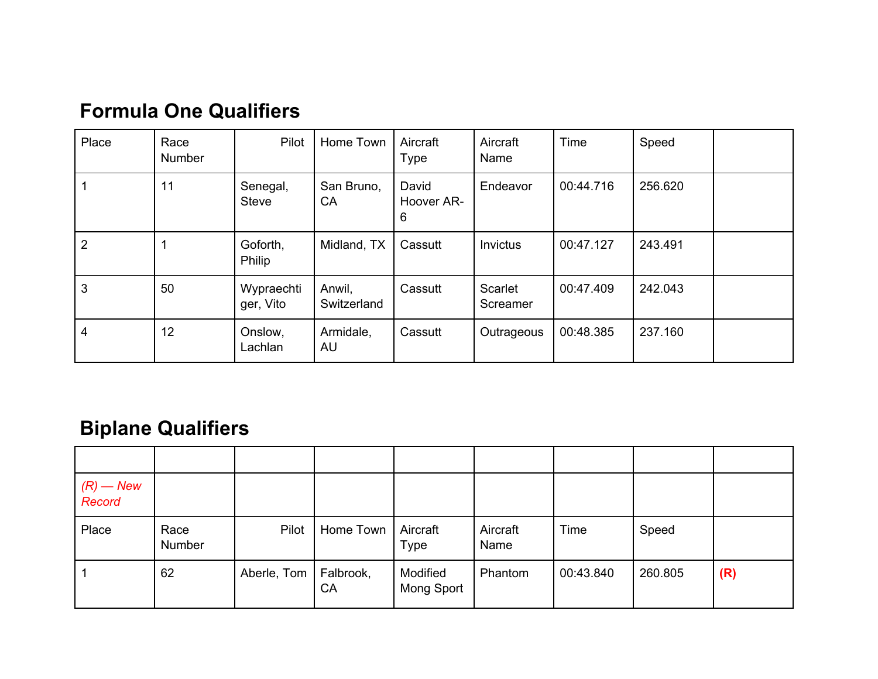| Place          | Race<br>Number | Pilot                    | Home Town             | Aircraft<br><b>Type</b>  | Aircraft<br>Name    | Time      | Speed   |  |
|----------------|----------------|--------------------------|-----------------------|--------------------------|---------------------|-----------|---------|--|
|                | 11             | Senegal,<br><b>Steve</b> | San Bruno,<br>CA      | David<br>Hoover AR-<br>6 | Endeavor            | 00:44.716 | 256.620 |  |
| $\overline{2}$ |                | Goforth,<br>Philip       | Midland, TX           | Cassutt                  | Invictus            | 00:47.127 | 243.491 |  |
| 3              | 50             | Wypraechti<br>ger, Vito  | Anwil,<br>Switzerland | Cassutt                  | Scarlet<br>Screamer | 00:47.409 | 242.043 |  |
| 4              | 12             | Onslow,<br>Lachlan       | Armidale,<br>AU       | Cassutt                  | Outrageous          | 00:48.385 | 237.160 |  |

### **Formula One Qualifiers**

## **Biplane Qualifiers**

| $(R)$ — New<br>Record |                |             |                     |                         |                  |           |         |     |
|-----------------------|----------------|-------------|---------------------|-------------------------|------------------|-----------|---------|-----|
| Place                 | Race<br>Number | Pilot       | Home Town           | Aircraft<br><b>Type</b> | Aircraft<br>Name | Time      | Speed   |     |
|                       | 62             | Aberle, Tom | $ $ Falbrook,<br>CA | Modified<br>Mong Sport  | Phantom          | 00:43.840 | 260.805 | (R) |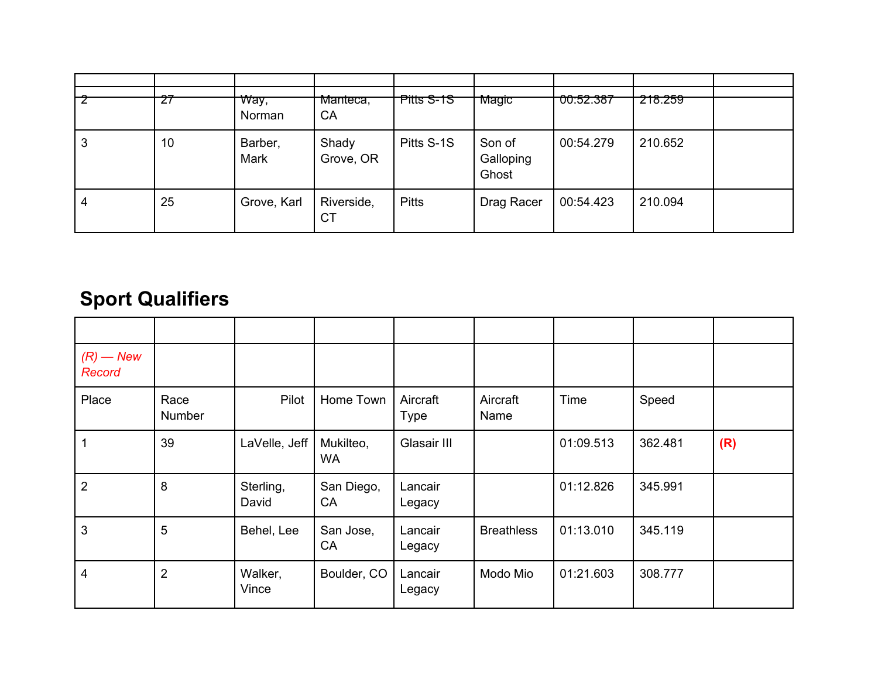|   | $\epsilon$ | <del>Way,</del><br>Norman | Manteca,<br>CA          | Pitts S-1S   | Magic                        | <del>00:52.387</del> | 218.259 |  |
|---|------------|---------------------------|-------------------------|--------------|------------------------------|----------------------|---------|--|
| 3 | 10         | Barber,<br>Mark           | Shady<br>Grove, OR      | Pitts S-1S   | Son of<br>Galloping<br>Ghost | 00:54.279            | 210.652 |  |
| 4 | 25         | Grove, Karl               | Riverside,<br><b>CT</b> | <b>Pitts</b> | Drag Racer                   | 00:54.423            | 210.094 |  |

# **Sport Qualifiers**

| $(R)$ – New<br>Record |                |                    |                        |                         |                   |           |         |     |
|-----------------------|----------------|--------------------|------------------------|-------------------------|-------------------|-----------|---------|-----|
| Place                 | Race<br>Number | Pilot              | Home Town              | Aircraft<br><b>Type</b> | Aircraft<br>Name  | Time      | Speed   |     |
| 1                     | 39             | LaVelle, Jeff      | Mukilteo,<br><b>WA</b> | Glasair III             |                   | 01:09.513 | 362.481 | (R) |
| $\overline{2}$        | 8              | Sterling,<br>David | San Diego,<br>CA       | Lancair<br>Legacy       |                   | 01:12.826 | 345.991 |     |
| 3                     | 5              | Behel, Lee         | San Jose,<br>CA        | Lancair<br>Legacy       | <b>Breathless</b> | 01:13.010 | 345.119 |     |
| $\overline{4}$        | $\overline{2}$ | Walker,<br>Vince   | Boulder, CO            | Lancair<br>Legacy       | Modo Mio          | 01:21.603 | 308.777 |     |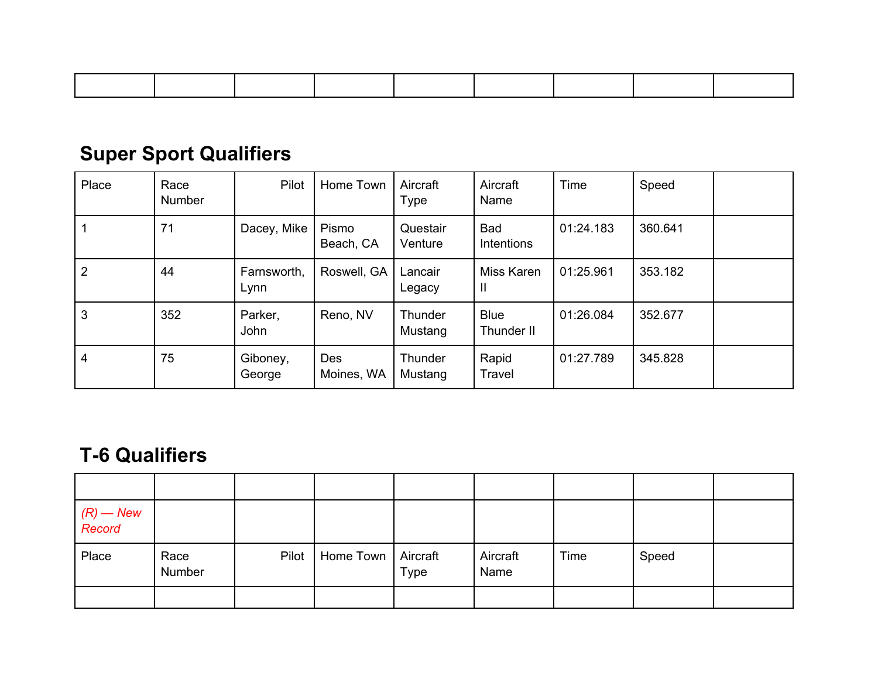# **Super Sport Qualifiers**

| Place          | Race<br>Number | Pilot               | Home Town          | Aircraft<br>Type    | Aircraft<br>Name                | Time      | Speed   |  |
|----------------|----------------|---------------------|--------------------|---------------------|---------------------------------|-----------|---------|--|
|                | 71             | Dacey, Mike         | Pismo<br>Beach, CA | Questair<br>Venture | <b>Bad</b><br><b>Intentions</b> | 01:24.183 | 360.641 |  |
| 2              | 44             | Farnsworth,<br>Lynn | Roswell, GA        | Lancair<br>Legacy   | Miss Karen<br>Ш                 | 01:25.961 | 353.182 |  |
| 3              | 352            | Parker,<br>John     | Reno, NV           | Thunder<br>Mustang  | <b>Blue</b><br>Thunder II       | 01:26.084 | 352.677 |  |
| $\overline{4}$ | 75             | Giboney,<br>George  | Des<br>Moines, WA  | Thunder<br>Mustang  | Rapid<br>Travel                 | 01:27.789 | 345.828 |  |

#### **T-6 Qualifiers**

| (R) — New<br>Record |                |       |                      |      |                  |      |       |  |
|---------------------|----------------|-------|----------------------|------|------------------|------|-------|--|
| Place               | Race<br>Number | Pilot | Home Town   Aircraft | Type | Aircraft<br>Name | Time | Speed |  |
|                     |                |       |                      |      |                  |      |       |  |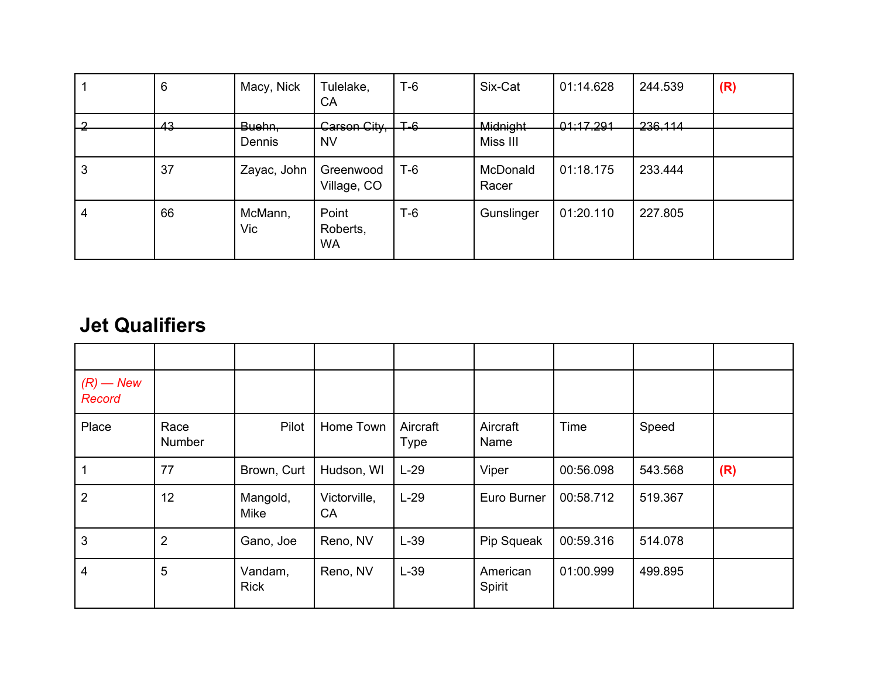|   | 6  | Macy, Nick                  | Tulelake,<br>CA                | $T-6$ | Six-Cat                     | 01:14.628    | 244.539            | (R) |
|---|----|-----------------------------|--------------------------------|-------|-----------------------------|--------------|--------------------|-----|
|   | 43 | <del>Buehn,</del><br>Dennis | Carson City,<br><b>NV</b>      | ⊥∓-6  | <b>Midnight</b><br>Miss III | $-01:17.291$ | <del>236.114</del> |     |
| 3 | 37 | Zayac, John                 | Greenwood<br>Village, CO       | $T-6$ | McDonald<br>Racer           | 01:18.175    | 233.444            |     |
| 4 | 66 | McMann,<br>Vic              | Point<br>Roberts,<br><b>WA</b> | $T-6$ | Gunslinger                  | 01:20.110    | 227.805            |     |

#### **Jet Qualifiers**

| $(R)$ — New<br>Record |                |                        |                    |                         |                    |           |         |     |
|-----------------------|----------------|------------------------|--------------------|-------------------------|--------------------|-----------|---------|-----|
| Place                 | Race<br>Number | Pilot                  | Home Town          | Aircraft<br><b>Type</b> | Aircraft<br>Name   | Time      | Speed   |     |
|                       | 77             | Brown, Curt            | Hudson, WI         | $L-29$                  | Viper              | 00:56.098 | 543.568 | (R) |
| $\overline{2}$        | 12             | Mangold,<br>Mike       | Victorville,<br>CA | $L-29$                  | Euro Burner        | 00:58.712 | 519.367 |     |
| 3                     | $\overline{2}$ | Gano, Joe              | Reno, NV           | $L-39$                  | Pip Squeak         | 00:59.316 | 514.078 |     |
| 4                     | 5              | Vandam,<br><b>Rick</b> | Reno, NV           | $L-39$                  | American<br>Spirit | 01:00.999 | 499.895 |     |